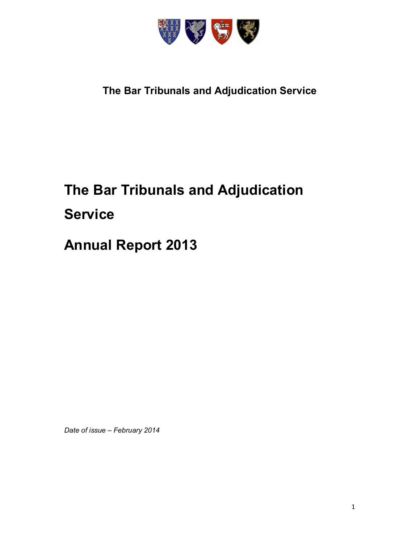

# **The Bar Tribunals and Adjudication Service**

# **The Bar Tribunals and Adjudication Service**

# **Annual Report 2013**

*Date of issue – February 2014*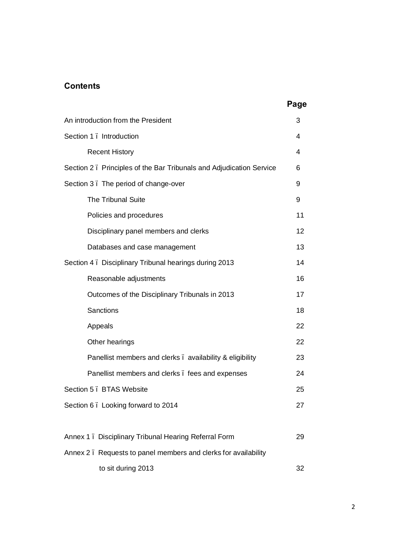# **Contents**

| An introduction from the President                                  | 3  |
|---------------------------------------------------------------------|----|
| Section 1. Introduction                                             | 4  |
| <b>Recent History</b>                                               | 4  |
| Section 2. Principles of the Bar Tribunals and Adjudication Service | 6  |
| Section 3. The period of change-over                                | 9  |
| <b>The Tribunal Suite</b>                                           | 9  |
| Policies and procedures                                             | 11 |
| Disciplinary panel members and clerks                               | 12 |
| Databases and case management                                       | 13 |
| Section 4. Disciplinary Tribunal hearings during 2013               | 14 |
| Reasonable adjustments                                              | 16 |
| Outcomes of the Disciplinary Tribunals in 2013                      | 17 |
| Sanctions                                                           | 18 |
| Appeals                                                             | 22 |
| Other hearings                                                      | 22 |
| Panellist members and clerks . availability & eligibility           | 23 |
| Panellist members and clerks. fees and expenses                     | 24 |
| Section 5 . BTAS Website                                            | 25 |
| Section 6. Looking forward to 2014                                  | 27 |
|                                                                     |    |
| Annex 1. Disciplinary Tribunal Hearing Referral Form                | 29 |
| Annex 2. Requests to panel members and clerks for availability      |    |
| to sit during 2013                                                  | 32 |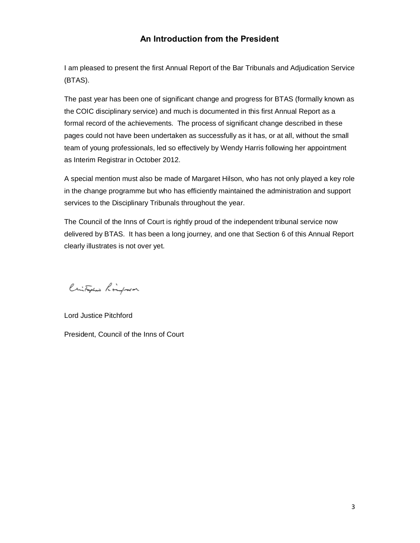# **An Introduction from the President**

I am pleased to present the first Annual Report of the Bar Tribunals and Adjudication Service (BTAS).

The past year has been one of significant change and progress for BTAS (formally known as the COIC disciplinary service) and much is documented in this first Annual Report as a formal record of the achievements. The process of significant change described in these pages could not have been undertaken as successfully as it has, or at all, without the small team of young professionals, led so effectively by Wendy Harris following her appointment as Interim Registrar in October 2012.

A special mention must also be made of Margaret Hilson, who has not only played a key role in the change programme but who has efficiently maintained the administration and support services to the Disciplinary Tribunals throughout the year.

The Council of the Inns of Court is rightly proud of the independent tribunal service now delivered by BTAS. It has been a long journey, and one that Section 6 of this Annual Report clearly illustrates is not over yet.

Cristophes Ringbord

Lord Justice Pitchford President, Council of the Inns of Court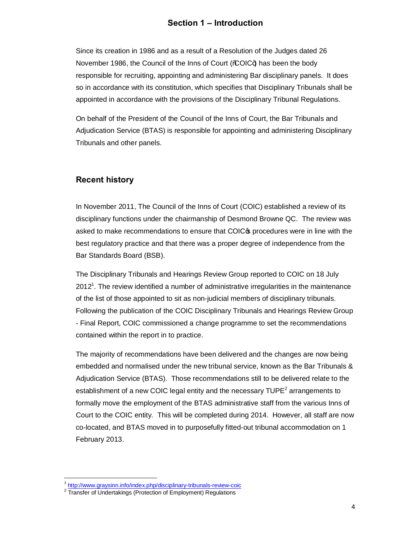# **Section 1 – Introduction**

Since its creation in 1986 and as a result of a Resolution of the Judges dated 26 November 1986, the Council of the Inns of Court (% OIC+) has been the body responsible for recruiting, appointing and administering Bar disciplinary panels. It does so in accordance with its constitution, which specifies that Disciplinary Tribunals shall be appointed in accordance with the provisions of the Disciplinary Tribunal Regulations.

On behalf of the President of the Council of the Inns of Court, the Bar Tribunals and Adjudication Service (BTAS) is responsible for appointing and administering Disciplinary Tribunals and other panels.

#### **Recent history**

In November 2011, The Council of the Inns of Court (COIC) established a review of its disciplinary functions under the chairmanship of Desmond Browne QC. The review was asked to make recommendations to ensure that COIC<sub>®</sub> procedures were in line with the best regulatory practice and that there was a proper degree of independence from the Bar Standards Board (BSB).

The Disciplinary Tribunals and Hearings Review Group reported to COIC on 18 July 2012<sup>1</sup>. The review identified a number of administrative irregularities in the maintenance of the list of those appointed to sit as non-judicial members of disciplinary tribunals. Following the publication of the COIC Disciplinary Tribunals and Hearings Review Group - Final Report, COIC commissioned a change programme to set the recommendations contained within the report in to practice.

The majority of recommendations have been delivered and the changes are now being embedded and normalised under the new tribunal service, known as the Bar Tribunals & Adjudication Service (BTAS). Those recommendations still to be delivered relate to the establishment of a new COIC legal entity and the necessary  $\text{TUPE}^2$  arrangements to formally move the employment of the BTAS administrative staff from the various Inns of Court to the COIC entity. This will be completed during 2014. However, all staff are now co-located, and BTAS moved in to purposefully fitted-out tribunal accommodation on 1 February 2013.

<sup>&</sup>lt;sup>1</sup> http://www.graysinn.info/index.php/disciplinary-tribunals-review-coic

<sup>&</sup>lt;sup>2</sup> Transfer of Undertakings (Protection of Employment) Regulations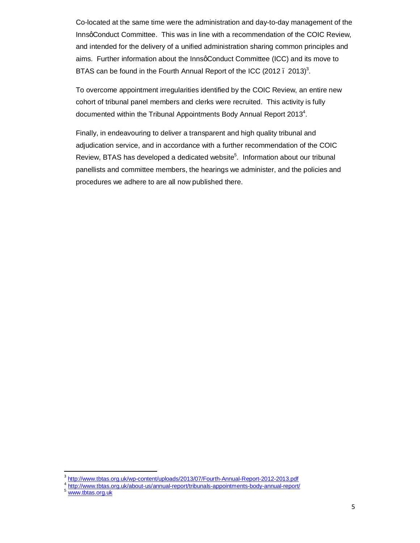Co-located at the same time were the administration and day-to-day management of the InnsqConduct Committee. This was in line with a recommendation of the COIC Review, and intended for the delivery of a unified administration sharing common principles and aims. Further information about the InnsqConduct Committee (ICC) and its move to BTAS can be found in the Fourth Annual Report of the ICC (2012  $. 2013$ )<sup>3</sup>.

To overcome appointment irregularities identified by the COIC Review, an entire new cohort of tribunal panel members and clerks were recruited. This activity is fully documented within the Tribunal Appointments Body Annual Report 2013<sup>4</sup>.

Finally, in endeavouring to deliver a transparent and high quality tribunal and adjudication service, and in accordance with a further recommendation of the COIC Review, BTAS has developed a dedicated website<sup>5</sup>. Information about our tribunal panellists and committee members, the hearings we administer, and the policies and procedures we adhere to are all now published there.

<sup>&</sup>lt;sup>3</sup> http://www.tbtas.org.uk/wp-content/uploads/2013/07/Fourth-Annual-Report-2012-2013.pdf

<sup>&</sup>lt;sup>4</sup> http://www.tbtas.org.uk/about-us/annual-report/tribunals-appointments-body-annual-report/<br><sup>5</sup> www.tbtas.org.uk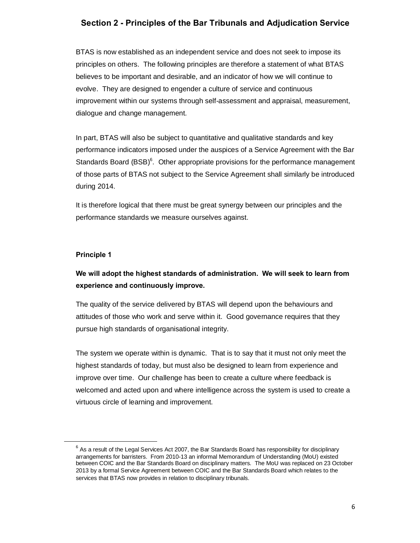# **Section 2 - Principles of the Bar Tribunals and Adjudication Service**

BTAS is now established as an independent service and does not seek to impose its principles on others. The following principles are therefore a statement of what BTAS believes to be important and desirable, and an indicator of how we will continue to evolve. They are designed to engender a culture of service and continuous improvement within our systems through self-assessment and appraisal, measurement, dialogue and change management.

In part, BTAS will also be subject to quantitative and qualitative standards and key performance indicators imposed under the auspices of a Service Agreement with the Bar Standards Board  $(BSB)^6$ . Other appropriate provisions for the performance management of those parts of BTAS not subject to the Service Agreement shall similarly be introduced during 2014.

It is therefore logical that there must be great synergy between our principles and the performance standards we measure ourselves against.

#### **Principle 1**

# **We will adopt the highest standards of administration. We will seek to learn from experience and continuously improve.**

The quality of the service delivered by BTAS will depend upon the behaviours and attitudes of those who work and serve within it. Good governance requires that they pursue high standards of organisational integrity.

The system we operate within is dynamic. That is to say that it must not only meet the highest standards of today, but must also be designed to learn from experience and improve over time. Our challenge has been to create a culture where feedback is welcomed and acted upon and where intelligence across the system is used to create a virtuous circle of learning and improvement.

 $<sup>6</sup>$  As a result of the Legal Services Act 2007, the Bar Standards Board has responsibility for disciplinary</sup> arrangements for barristers. From 2010-13 an informal Memorandum of Understanding (MoU) existed between COIC and the Bar Standards Board on disciplinary matters. The MoU was replaced on 23 October 2013 by a formal Service Agreement between COIC and the Bar Standards Board which relates to the services that BTAS now provides in relation to disciplinary tribunals.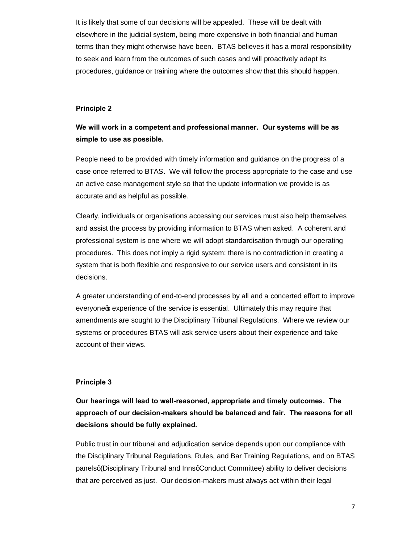It is likely that some of our decisions will be appealed. These will be dealt with elsewhere in the judicial system, being more expensive in both financial and human terms than they might otherwise have been. BTAS believes it has a moral responsibility to seek and learn from the outcomes of such cases and will proactively adapt its procedures, guidance or training where the outcomes show that this should happen.

#### **Principle 2**

# **We will work in a competent and professional manner. Our systems will be as simple to use as possible.**

People need to be provided with timely information and guidance on the progress of a case once referred to BTAS. We will follow the process appropriate to the case and use an active case management style so that the update information we provide is as accurate and as helpful as possible.

Clearly, individuals or organisations accessing our services must also help themselves and assist the process by providing information to BTAS when asked. A coherent and professional system is one where we will adopt standardisation through our operating procedures. This does not imply a rigid system; there is no contradiction in creating a system that is both flexible and responsive to our service users and consistent in its decisions.

A greater understanding of end-to-end processes by all and a concerted effort to improve everyone of experience of the service is essential. Ultimately this may require that amendments are sought to the Disciplinary Tribunal Regulations. Where we review our systems or procedures BTAS will ask service users about their experience and take account of their views.

#### **Principle 3**

**Our hearings will lead to well-reasoned, appropriate and timely outcomes. The approach of our decision-makers should be balanced and fair. The reasons for all decisions should be fully explained.**

Public trust in our tribunal and adjudication service depends upon our compliance with the Disciplinary Tribunal Regulations, Rules, and Bar Training Regulations, and on BTAS panelsg (Disciplinary Tribunal and Innsg Conduct Committee) ability to deliver decisions that are perceived as just. Our decision-makers must always act within their legal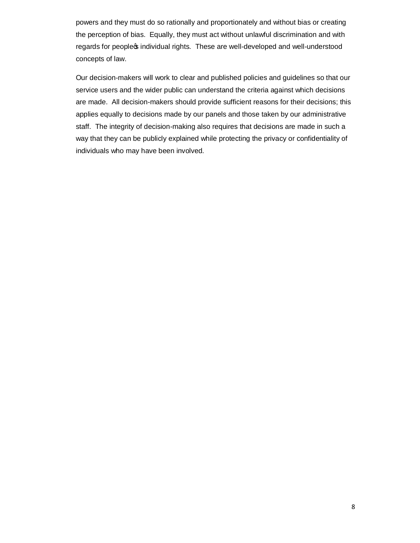powers and they must do so rationally and proportionately and without bias or creating the perception of bias. Equally, they must act without unlawful discrimination and with regards for peopleos individual rights. These are well-developed and well-understood concepts of law.

Our decision-makers will work to clear and published policies and guidelines so that our service users and the wider public can understand the criteria against which decisions are made. All decision-makers should provide sufficient reasons for their decisions; this applies equally to decisions made by our panels and those taken by our administrative staff. The integrity of decision-making also requires that decisions are made in such a way that they can be publicly explained while protecting the privacy or confidentiality of individuals who may have been involved.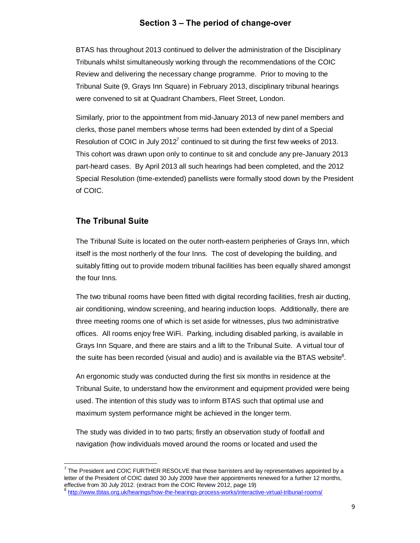### **Section 3 – The period of change-over**

BTAS has throughout 2013 continued to deliver the administration of the Disciplinary Tribunals whilst simultaneously working through the recommendations of the COIC Review and delivering the necessary change programme. Prior to moving to the Tribunal Suite (9, Grays Inn Square) in February 2013, disciplinary tribunal hearings were convened to sit at Quadrant Chambers, Fleet Street, London.

Similarly, prior to the appointment from mid-January 2013 of new panel members and clerks, those panel members whose terms had been extended by dint of a Special Resolution of COIC in July 2012 $^7$  continued to sit during the first few weeks of 2013. This cohort was drawn upon only to continue to sit and conclude any pre-January 2013 part-heard cases. By April 2013 all such hearings had been completed, and the 2012 Special Resolution (time-extended) panellists were formally stood down by the President of COIC.

#### **The Tribunal Suite**

The Tribunal Suite is located on the outer north-eastern peripheries of Grays Inn, which itself is the most northerly of the four Inns. The cost of developing the building, and suitably fitting out to provide modern tribunal facilities has been equally shared amongst the four Inns.

The two tribunal rooms have been fitted with digital recording facilities, fresh air ducting, air conditioning, window screening, and hearing induction loops. Additionally, there are three meeting rooms one of which is set aside for witnesses, plus two administrative offices. All rooms enjoy free WiFi. Parking, including disabled parking, is available in Grays Inn Square, and there are stairs and a lift to the Tribunal Suite. A virtual tour of the suite has been recorded (visual and audio) and is available via the BTAS website $^8$ .

An ergonomic study was conducted during the first six months in residence at the Tribunal Suite, to understand how the environment and equipment provided were being used. The intention of this study was to inform BTAS such that optimal use and maximum system performance might be achieved in the longer term.

The study was divided in to two parts; firstly an observation study of footfall and navigation (how individuals moved around the rooms or located and used the

 $<sup>7</sup>$  The President and COIC FURTHER RESOLVE that those barristers and lay representatives appointed by a</sup> letter of the President of COIC dated 30 July 2009 have their appointments renewed for a further 12 months, effective from 30 July 2012. (extract from the COIC Review 2012, page 19)

<sup>&</sup>lt;sup>8</sup> http://www.tbtas.org.uk/hearings/how-the-hearings-process-works/interactive-virtual-tribunal-rooms/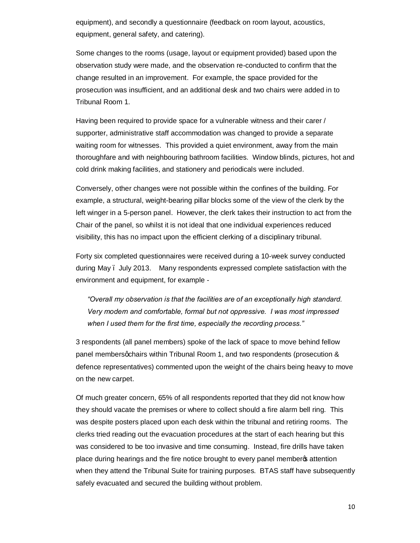equipment), and secondly a questionnaire (feedback on room layout, acoustics, equipment, general safety, and catering).

Some changes to the rooms (usage, layout or equipment provided) based upon the observation study were made, and the observation re-conducted to confirm that the change resulted in an improvement. For example, the space provided for the prosecution was insufficient, and an additional desk and two chairs were added in to Tribunal Room 1.

Having been required to provide space for a vulnerable witness and their carer / supporter, administrative staff accommodation was changed to provide a separate waiting room for witnesses. This provided a quiet environment, away from the main thoroughfare and with neighbouring bathroom facilities. Window blinds, pictures, hot and cold drink making facilities, and stationery and periodicals were included.

Conversely, other changes were not possible within the confines of the building. For example, a structural, weight-bearing pillar blocks some of the view of the clerk by the left winger in a 5-person panel. However, the clerk takes their instruction to act from the Chair of the panel, so whilst it is not ideal that one individual experiences reduced visibility, this has no impact upon the efficient clerking of a disciplinary tribunal.

Forty six completed questionnaires were received during a 10-week survey conducted during May – July 2013. Many respondents expressed complete satisfaction with the environment and equipment, for example -

*"Overall my observation is that the facilities are of an exceptionally high standard. Very modern and comfortable, formal but not oppressive. I was most impressed when I used them for the first time, especially the recording process."*

3 respondents (all panel members) spoke of the lack of space to move behind fellow panel members gchairs within Tribunal Room 1, and two respondents (prosecution & defence representatives) commented upon the weight of the chairs being heavy to move on the new carpet.

Of much greater concern, 65% of all respondents reported that they did not know how they should vacate the premises or where to collect should a fire alarm bell ring. This was despite posters placed upon each desk within the tribunal and retiring rooms. The clerks tried reading out the evacuation procedures at the start of each hearing but this was considered to be too invasive and time consuming. Instead, fire drills have taken place during hearings and the fire notice brought to every panel member of attention when they attend the Tribunal Suite for training purposes. BTAS staff have subsequently safely evacuated and secured the building without problem.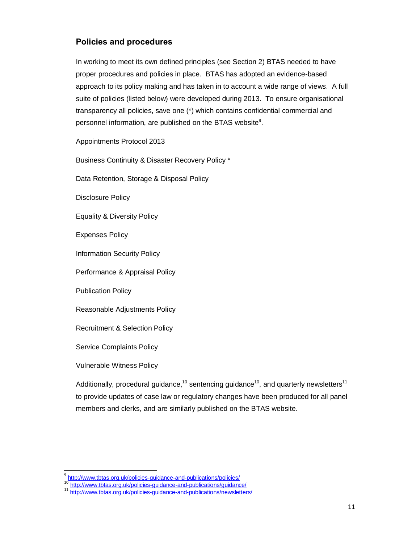# **Policies and procedures**

In working to meet its own defined principles (see Section 2) BTAS needed to have proper procedures and policies in place. BTAS has adopted an evidence-based approach to its policy making and has taken in to account a wide range of views. A full suite of policies (listed below) were developed during 2013. To ensure organisational transparency all policies, save one (\*) which contains confidential commercial and personnel information, are published on the BTAS website<sup>9</sup>.

Appointments Protocol 2013

Business Continuity & Disaster Recovery Policy \*

Data Retention, Storage & Disposal Policy

Disclosure Policy

Equality & Diversity Policy

Expenses Policy

Information Security Policy

Performance & Appraisal Policy

Publication Policy

Reasonable Adjustments Policy

Recruitment & Selection Policy

Service Complaints Policy

Vulnerable Witness Policy

Additionally, procedural guidance,<sup>10</sup> sentencing guidance<sup>10</sup>, and quarterly newsletters<sup>11</sup> to provide updates of case law or regulatory changes have been produced for all panel members and clerks, and are similarly published on the BTAS website.

<sup>&</sup>lt;sup>9</sup> http://www.tbtas.org.uk/policies-guidance-and-publications/policies/

<sup>10</sup> http://www.tbtas.org.uk/policies-guidance-and-publications/guidance/<br>10 http://www.tbtas.org.uk/policies-guidance-and-publications/newsletters/<br><sup>11</sup> http://www.tbtas.org.uk/policie<u>s-guidance-and-publications/newsletter</u>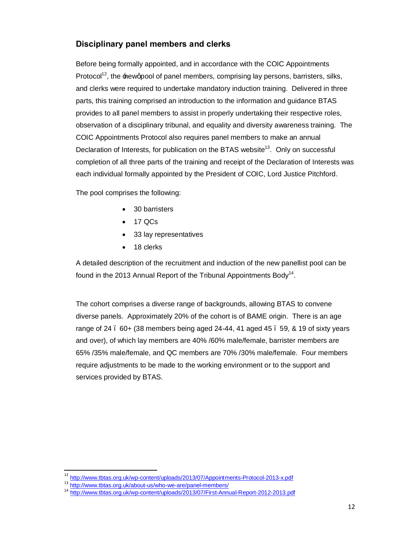# **Disciplinary panel members and clerks**

Before being formally appointed, and in accordance with the COIC Appointments Protocol<sup>12</sup>, the new apool of panel members, comprising lay persons, barristers, silks, and clerks were required to undertake mandatory induction training. Delivered in three parts, this training comprised an introduction to the information and guidance BTAS provides to all panel members to assist in properly undertaking their respective roles, observation of a disciplinary tribunal, and equality and diversity awareness training. The COIC Appointments Protocol also requires panel members to make an annual Declaration of Interests, for publication on the BTAS website<sup>13</sup>. Only on successful completion of all three parts of the training and receipt of the Declaration of Interests was each individual formally appointed by the President of COIC, Lord Justice Pitchford.

The pool comprises the following:

- · 30 barristers
- · 17 QCs
- 33 lay representatives
- 18 clerks

A detailed description of the recruitment and induction of the new panellist pool can be found in the 2013 Annual Report of the Tribunal Appointments Body<sup>14</sup>.

The cohort comprises a diverse range of backgrounds, allowing BTAS to convene diverse panels. Approximately 20% of the cohort is of BAME origin. There is an age range of  $24$   $\ldots$  60+ (38 members being aged 24-44, 41 aged 45  $\ldots$  59, & 19 of sixty years and over), of which lay members are 40% /60% male/female, barrister members are 65% /35% male/female, and QC members are 70% /30% male/female. Four members require adjustments to be made to the working environment or to the support and services provided by BTAS.

 <sup>12</sup> http://www.tbtas.org.uk/wp-content/uploads/2013/07/Appointments-Protocol-2013-x.pdf

<sup>13</sup> http://www.tbtas.org.uk/about-us/who-we-are/panel-members/

<sup>14</sup> http://www.tbtas.org.uk/wp-content/uploads/2013/07/First-Annual-Report-2012-2013.pdf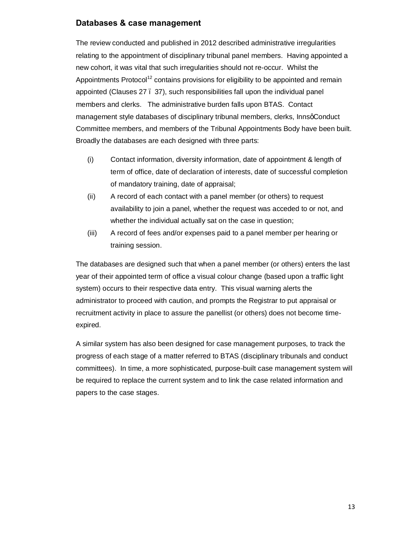#### **Databases & case management**

The review conducted and published in 2012 described administrative irregularities relating to the appointment of disciplinary tribunal panel members. Having appointed a new cohort, it was vital that such irregularities should not re-occur. Whilst the Appointments Protocol<sup>12</sup> contains provisions for eligibility to be appointed and remain appointed (Clauses 27 – 37), such responsibilities fall upon the individual panel members and clerks. The administrative burden falls upon BTAS. Contact management style databases of disciplinary tribunal members, clerks, InnsqConduct Committee members, and members of the Tribunal Appointments Body have been built. Broadly the databases are each designed with three parts:

- (i) Contact information, diversity information, date of appointment & length of term of office, date of declaration of interests, date of successful completion of mandatory training, date of appraisal;
- (ii) A record of each contact with a panel member (or others) to request availability to join a panel, whether the request was acceded to or not, and whether the individual actually sat on the case in question;
- (iii) A record of fees and/or expenses paid to a panel member per hearing or training session.

The databases are designed such that when a panel member (or others) enters the last year of their appointed term of office a visual colour change (based upon a traffic light system) occurs to their respective data entry. This visual warning alerts the administrator to proceed with caution, and prompts the Registrar to put appraisal or recruitment activity in place to assure the panellist (or others) does not become timeexpired.

A similar system has also been designed for case management purposes, to track the progress of each stage of a matter referred to BTAS (disciplinary tribunals and conduct committees). In time, a more sophisticated, purpose-built case management system will be required to replace the current system and to link the case related information and papers to the case stages.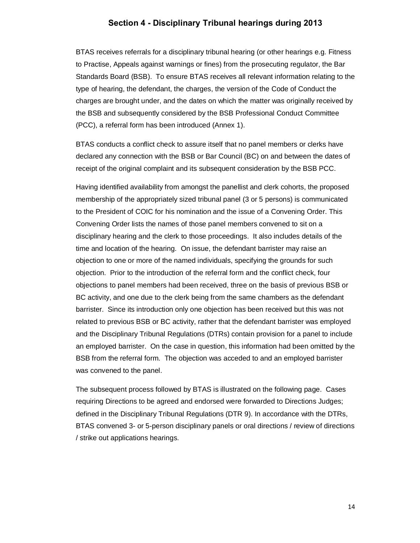#### **Section 4 - Disciplinary Tribunal hearings during 2013**

BTAS receives referrals for a disciplinary tribunal hearing (or other hearings e.g. Fitness to Practise, Appeals against warnings or fines) from the prosecuting regulator, the Bar Standards Board (BSB). To ensure BTAS receives all relevant information relating to the type of hearing, the defendant, the charges, the version of the Code of Conduct the charges are brought under, and the dates on which the matter was originally received by the BSB and subsequently considered by the BSB Professional Conduct Committee (PCC), a referral form has been introduced (Annex 1).

BTAS conducts a conflict check to assure itself that no panel members or clerks have declared any connection with the BSB or Bar Council (BC) on and between the dates of receipt of the original complaint and its subsequent consideration by the BSB PCC.

Having identified availability from amongst the panellist and clerk cohorts, the proposed membership of the appropriately sized tribunal panel (3 or 5 persons) is communicated to the President of COIC for his nomination and the issue of a Convening Order. This Convening Order lists the names of those panel members convened to sit on a disciplinary hearing and the clerk to those proceedings. It also includes details of the time and location of the hearing. On issue, the defendant barrister may raise an objection to one or more of the named individuals, specifying the grounds for such objection. Prior to the introduction of the referral form and the conflict check, four objections to panel members had been received, three on the basis of previous BSB or BC activity, and one due to the clerk being from the same chambers as the defendant barrister. Since its introduction only one objection has been received but this was not related to previous BSB or BC activity, rather that the defendant barrister was employed and the Disciplinary Tribunal Regulations (DTRs) contain provision for a panel to include an employed barrister. On the case in question, this information had been omitted by the BSB from the referral form. The objection was acceded to and an employed barrister was convened to the panel.

The subsequent process followed by BTAS is illustrated on the following page. Cases requiring Directions to be agreed and endorsed were forwarded to Directions Judges; defined in the Disciplinary Tribunal Regulations (DTR 9). In accordance with the DTRs, BTAS convened 3- or 5-person disciplinary panels or oral directions / review of directions / strike out applications hearings.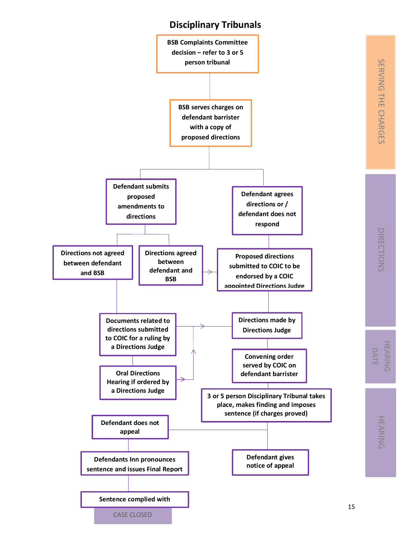# **Disciplinary Tribunals**

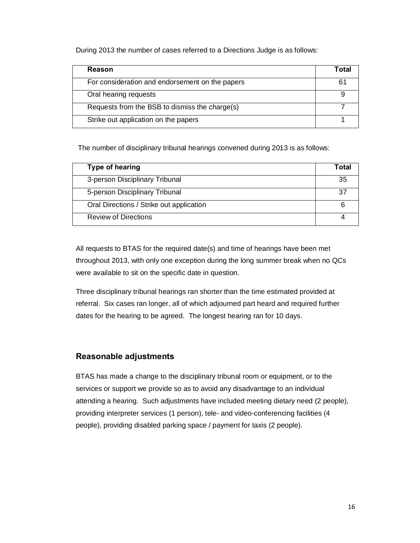During 2013 the number of cases referred to a Directions Judge is as follows:

| Reason                                          | Total |
|-------------------------------------------------|-------|
| For consideration and endorsement on the papers | 61    |
| Oral hearing requests                           |       |
| Requests from the BSB to dismiss the charge(s)  |       |
| Strike out application on the papers            |       |

The number of disciplinary tribunal hearings convened during 2013 is as follows:

| Type of hearing                          | Total |
|------------------------------------------|-------|
| 3-person Disciplinary Tribunal           | 35    |
| 5-person Disciplinary Tribunal           | 37    |
| Oral Directions / Strike out application |       |
| <b>Review of Directions</b>              |       |

All requests to BTAS for the required date(s) and time of hearings have been met throughout 2013, with only one exception during the long summer break when no QCs were available to sit on the specific date in question.

Three disciplinary tribunal hearings ran shorter than the time estimated provided at referral. Six cases ran longer, all of which adjourned part heard and required further dates for the hearing to be agreed. The longest hearing ran for 10 days.

#### **Reasonable adjustments**

BTAS has made a change to the disciplinary tribunal room or equipment, or to the services or support we provide so as to avoid any disadvantage to an individual attending a hearing. Such adjustments have included meeting dietary need (2 people), providing interpreter services (1 person), tele- and video-conferencing facilities (4 people), providing disabled parking space / payment for taxis (2 people).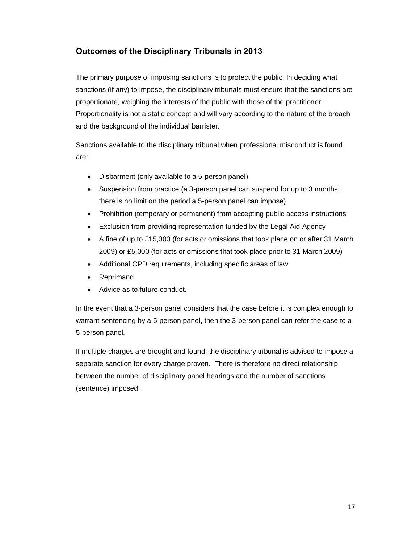# **Outcomes of the Disciplinary Tribunals in 2013**

The primary purpose of imposing sanctions is to protect the public. In deciding what sanctions (if any) to impose, the disciplinary tribunals must ensure that the sanctions are proportionate, weighing the interests of the public with those of the practitioner. Proportionality is not a static concept and will vary according to the nature of the breach and the background of the individual barrister.

Sanctions available to the disciplinary tribunal when professional misconduct is found are:

- · Disbarment (only available to a 5-person panel)
- Suspension from practice (a 3-person panel can suspend for up to 3 months; there is no limit on the period a 5-person panel can impose)
- · Prohibition (temporary or permanent) from accepting public access instructions
- Exclusion from providing representation funded by the Legal Aid Agency
- · A fine of up to £15,000 (for acts or omissions that took place on or after 31 March 2009) or £5,000 (for acts or omissions that took place prior to 31 March 2009)
- · Additional CPD requirements, including specific areas of law
- **Reprimand**
- Advice as to future conduct.

In the event that a 3-person panel considers that the case before it is complex enough to warrant sentencing by a 5-person panel, then the 3-person panel can refer the case to a 5-person panel.

If multiple charges are brought and found, the disciplinary tribunal is advised to impose a separate sanction for every charge proven. There is therefore no direct relationship between the number of disciplinary panel hearings and the number of sanctions (sentence) imposed.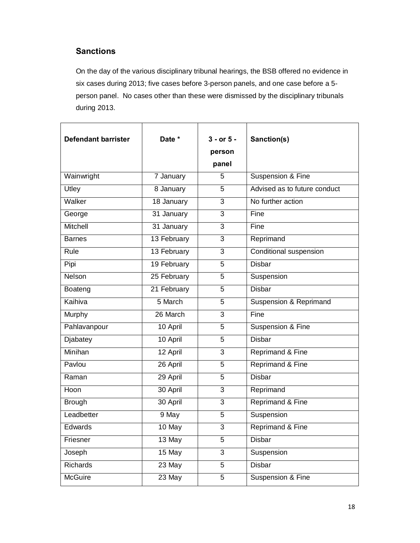# **Sanctions**

On the day of the various disciplinary tribunal hearings, the BSB offered no evidence in six cases during 2013; five cases before 3-person panels, and one case before a 5 person panel. No cases other than these were dismissed by the disciplinary tribunals during 2013.

| <b>Defendant barrister</b> | Date *<br>$3 - or 5 -$<br>person |                | Sanction(s)                  |
|----------------------------|----------------------------------|----------------|------------------------------|
|                            |                                  | panel          |                              |
| Wainwright                 | 7 January                        | 5              | Suspension & Fine            |
| Utley                      | 8 January                        | 5              | Advised as to future conduct |
| Walker                     | 18 January                       | 3              | No further action            |
| George                     | $31$ January                     | 3              | Fine                         |
| Mitchell                   | 31 January                       | $\overline{3}$ | Fine                         |
| <b>Barnes</b>              | 13 February                      | 3              | Reprimand                    |
| Rule                       | 13 February                      | 3              | Conditional suspension       |
| Pipi                       | 19 February                      | 5              | <b>Disbar</b>                |
| <b>Nelson</b>              | 25 February                      | 5              | Suspension                   |
| Boateng                    | 21 February                      | 5              | <b>Disbar</b>                |
| Kaihiva                    | 5 March                          | 5              | Suspension & Reprimand       |
| Murphy                     | 26 March                         | 3              | Fine                         |
| Pahlavanpour               | 10 April                         | 5              | Suspension & Fine            |
| Djabatey                   | 10 April                         | 5              | <b>Disbar</b>                |
| Minihan                    | 12 April                         | 3              | Reprimand & Fine             |
| Pavlou                     | $26$ April                       | 5              | Reprimand & Fine             |
| Raman                      | 29 April                         | 5              | <b>Disbar</b>                |
| Hoon                       | 30 April                         | 3              | Reprimand                    |
| <b>Brough</b>              | 30 April                         | 3              | <b>Reprimand &amp; Fine</b>  |
| Leadbetter                 | 9 May                            | 5              | Suspension                   |
| Edwards                    | 10 May                           | 3              | Reprimand & Fine             |
| Friesner                   | 13 May                           | 5              | Disbar                       |
| Joseph                     | $15$ May                         | 3              | Suspension                   |
| Richards                   | 23 May                           | 5              | Disbar                       |
| <b>McGuire</b>             | $23$ May                         | 5              | Suspension & Fine            |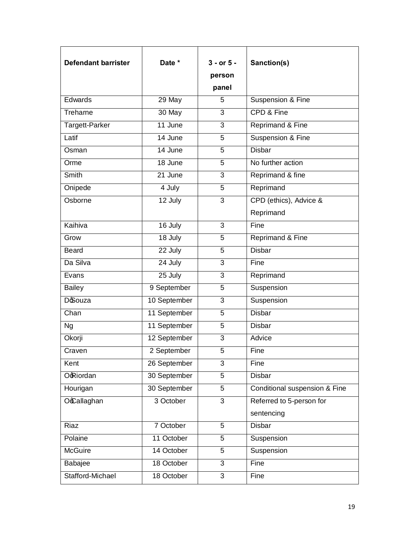| <b>Defendant barrister</b> | Date *<br>$3 - or 5 -$<br>person<br>panel |                | Sanction(s)                   |
|----------------------------|-------------------------------------------|----------------|-------------------------------|
| Edwards                    | 29 May                                    | 5              | Suspension & Fine             |
| Treharne                   | 30 May                                    | 3              | CPD & Fine                    |
| Targett-Parker             | 11 June                                   | 3              | Reprimand & Fine              |
| Latif                      | 14 June                                   | 5              | Suspension & Fine             |
| Osman                      | 14 June                                   | 5              | <b>Disbar</b>                 |
| Orme                       | 18 June                                   | 5              | No further action             |
| Smith                      | 21 June                                   | $\overline{3}$ | Reprimand & fine              |
| Onipede                    | 4 July                                    | 5              | Reprimand                     |
| Osborne                    | 12 July                                   | 3              | CPD (ethics), Advice &        |
|                            |                                           |                | Reprimand                     |
| Kaihiva                    | 16 July                                   | 3              | Fine                          |
| Grow                       | 18 July                                   | 5              | Reprimand & Fine              |
| <b>Beard</b>               | 22 July                                   | 5              | <b>Disbar</b>                 |
| Da Silva                   | 24 July                                   | $\overline{3}$ | Fine                          |
| Evans                      | 25 July                                   | 3              | Reprimand                     |
| <b>Bailey</b>              | 9 September                               | 5              | Suspension                    |
| <b>D</b> ocuza             | 10 September                              | 3              | Suspension                    |
| Chan                       | 11 September                              | 5              | <b>Disbar</b>                 |
| <b>Ng</b>                  | 11 September                              | 5              | <b>Disbar</b>                 |
| Okorji                     | 12 September                              | 3              | Advice                        |
| Craven                     | 2 September                               | 5              | Fine                          |
| Kent                       | 26 September                              | 3              | Fine                          |
| <b>O</b> Riordan           | 30 September                              | 5              | Disbar                        |
| Hourigan                   | 30 September                              | 5              | Conditional suspension & Fine |
| Occallaghan                | 3 October                                 | 3              | Referred to 5-person for      |
|                            |                                           |                | sentencing                    |
| Riaz                       | 7 October                                 | 5              | <b>Disbar</b>                 |
| Polaine                    | 11 October                                | 5              | Suspension                    |
| <b>McGuire</b>             | 14 October                                | 5              | Suspension                    |
| Babajee                    | 18 October                                | $\overline{3}$ | Fine                          |
| Stafford-Michael           | 18 October                                | $\overline{3}$ | Fine                          |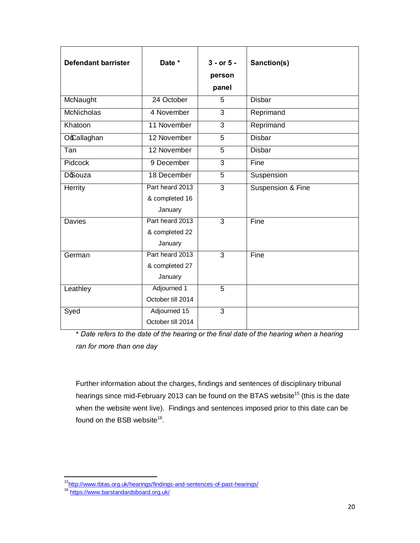| <b>Defendant barrister</b> | Date *                                       | $3 - or 5 -$<br>person<br>panel | Sanction(s)       |
|----------------------------|----------------------------------------------|---------------------------------|-------------------|
| McNaught                   | 24 October                                   | 5                               | <b>Disbar</b>     |
| <b>McNicholas</b>          | 4 November                                   | 3                               | Reprimand         |
| Khatoon                    | 11 November                                  | 3                               | Reprimand         |
| Occallaghan                | 12 November                                  | 5                               | <b>Disbar</b>     |
| Tan                        | 12 November                                  | 5                               | <b>Disbar</b>     |
| Pidcock                    | 9 December                                   | 3                               | Fine              |
| <b>D</b> ouza              | 18 December                                  | 5                               | Suspension        |
| Herrity                    | Part heard 2013<br>& completed 16<br>January | 3                               | Suspension & Fine |
| <b>Davies</b>              | Part heard 2013<br>& completed 22<br>January | $\overline{3}$                  | Fine              |
| German                     | Part heard 2013<br>& completed 27<br>January | 3                               | Fine              |
| Leathley                   | Adjourned 1<br>October till 2014             | $\overline{5}$                  |                   |
| Syed                       | Adjourned 15<br>October till 2014            | $\overline{3}$                  |                   |

\* *Date refers to the date of the hearing or the final date of the hearing when a hearing ran for more than one day*

Further information about the charges, findings and sentences of disciplinary tribunal hearings since mid-February 2013 can be found on the BTAS website<sup>15</sup> (this is the date when the website went live). Findings and sentences imposed prior to this date can be found on the BSB website<sup>16</sup>.

<sup>&</sup>lt;sup>15</sup>http://www.tbtas.org.uk/hearings/findings-and-sentences-of-past-hearings/<br><sup>16</sup> https://www.barstandardsboard.org.uk/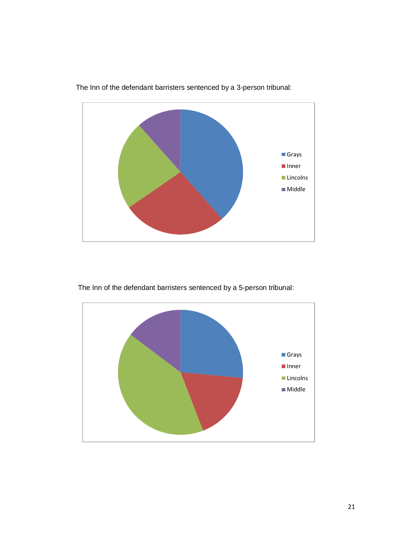

The Inn of the defendant barristers sentenced by a 3-person tribunal:

The Inn of the defendant barristers sentenced by a 5-person tribunal:

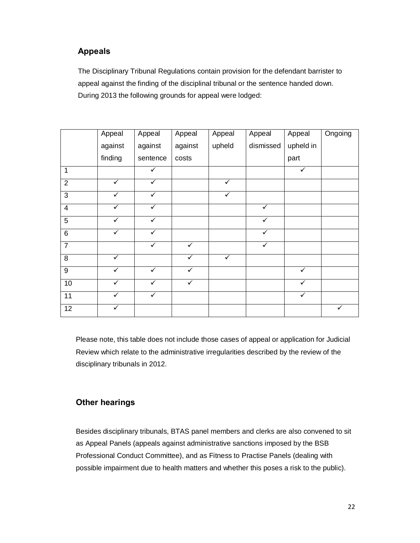# **Appeals**

The Disciplinary Tribunal Regulations contain provision for the defendant barrister to appeal against the finding of the disciplinal tribunal or the sentence handed down. During 2013 the following grounds for appeal were lodged:

|                         | Appeal       | Appeal       | Appeal       | Appeal       | Appeal    | Appeal       | Ongoing |
|-------------------------|--------------|--------------|--------------|--------------|-----------|--------------|---------|
|                         | against      | against      | against      | upheld       | dismissed | upheld in    |         |
|                         | finding      | sentence     | costs        |              |           | part         |         |
| 1                       |              | ✓            |              |              |           | ✓            |         |
| $\overline{2}$          | $\checkmark$ | $\checkmark$ |              | $\checkmark$ |           |              |         |
| $\mathbf{3}$            | ✓            | ✓            |              | $\checkmark$ |           |              |         |
| $\overline{\mathbf{4}}$ | ✓            | ✓            |              |              | ✓         |              |         |
| $\overline{5}$          | ✓            | ✓            |              |              | ✓         |              |         |
| $\overline{6}$          | ✓            | ✓            |              |              | ✓         |              |         |
| $\overline{7}$          |              | ✓            | $\checkmark$ |              | ✓         |              |         |
| 8                       | $\checkmark$ |              | $\checkmark$ | $\checkmark$ |           |              |         |
| $\boldsymbol{9}$        | ✓            | ✓            | ✓            |              |           | ✓            |         |
| 10                      |              |              | $\checkmark$ |              |           | $\checkmark$ |         |
| 11                      | ✓            | ✓            |              |              |           | $\checkmark$ |         |
| 12                      | ✓            |              |              |              |           |              | ✓       |

Please note, this table does not include those cases of appeal or application for Judicial Review which relate to the administrative irregularities described by the review of the disciplinary tribunals in 2012.

#### **Other hearings**

Besides disciplinary tribunals, BTAS panel members and clerks are also convened to sit as Appeal Panels (appeals against administrative sanctions imposed by the BSB Professional Conduct Committee), and as Fitness to Practise Panels (dealing with possible impairment due to health matters and whether this poses a risk to the public).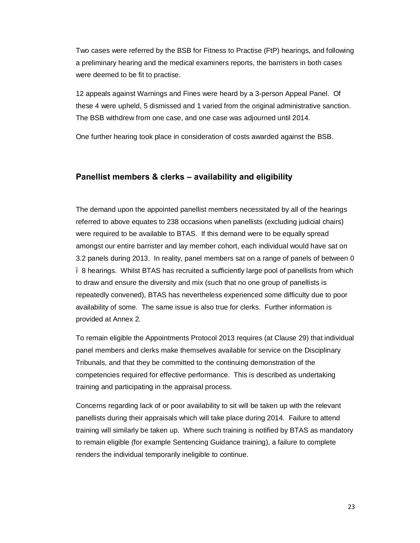Two cases were referred by the BSB for Fitness to Practise (FtP) hearings, and following a preliminary hearing and the medical examiners reports, the barristers in both cases were deemed to be fit to practise.

12 appeals against Warnings and Fines were heard by a 3-person Appeal Panel. Of these 4 were upheld, 5 dismissed and 1 varied from the original administrative sanction. The BSB withdrew from one case, and one case was adjourned until 2014.

One further hearing took place in consideration of costs awarded against the BSB.

#### **Panellist members & clerks – availability and eligibility**

The demand upon the appointed panellist members necessitated by all of the hearings referred to above equates to 238 occasions when panellists (excluding judicial chairs) were required to be available to BTAS. If this demand were to be equally spread amongst our entire barrister and lay member cohort, each individual would have sat on 3.2 panels during 2013. In reality, panel members sat on a range of panels of between 0 – 8 hearings. Whilst BTAS has recruited a sufficiently large pool of panellists from which to draw and ensure the diversity and mix (such that no one group of panellists is repeatedly convened), BTAS has nevertheless experienced some difficulty due to poor availability of some. The same issue is also true for clerks. Further information is provided at Annex 2.

To remain eligible the Appointments Protocol 2013 requires (at Clause 29) that individual panel members and clerks make themselves available for service on the Disciplinary Tribunals, and that they be committed to the continuing demonstration of the competencies required for effective performance. This is described as undertaking training and participating in the appraisal process.

Concerns regarding lack of or poor availability to sit will be taken up with the relevant panellists during their appraisals which will take place during 2014. Failure to attend training will similarly be taken up. Where such training is notified by BTAS as mandatory to remain eligible (for example Sentencing Guidance training), a failure to complete renders the individual temporarily ineligible to continue.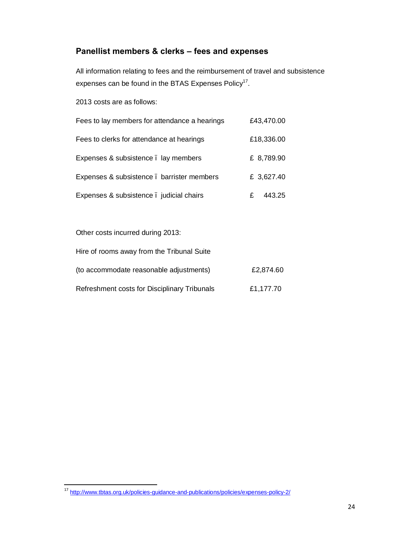# **Panellist members & clerks – fees and expenses**

All information relating to fees and the reimbursement of travel and subsistence expenses can be found in the BTAS Expenses Policy<sup>17</sup>.

2013 costs are as follows:

| Fees to lay members for attendance a hearings | £43,470.00  |
|-----------------------------------------------|-------------|
| Fees to clerks for attendance at hearings     | £18,336.00  |
| Expenses & subsistence . lay members          | £ 8,789.90  |
| Expenses & subsistence . barrister members    | £ 3,627.40  |
| Expenses & subsistence judicial chairs        | 443.25<br>£ |

Other costs incurred during 2013:

| Hire of rooms away from the Tribunal Suite   |           |
|----------------------------------------------|-----------|
| (to accommodate reasonable adjustments)      | £2,874.60 |
| Refreshment costs for Disciplinary Tribunals | £1,177.70 |

 <sup>17</sup> http://www.tbtas.org.uk/policies-guidance-and-publications/policies/expenses-policy-2/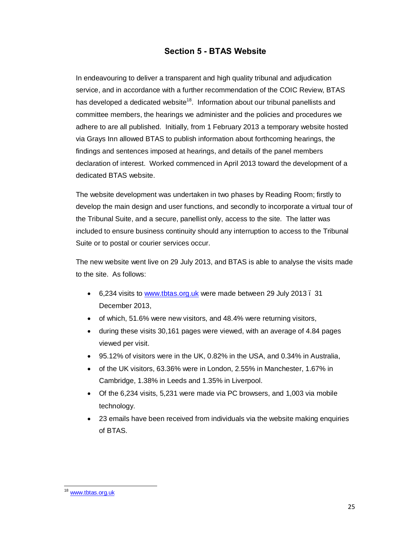#### **Section 5 - BTAS Website**

In endeavouring to deliver a transparent and high quality tribunal and adjudication service, and in accordance with a further recommendation of the COIC Review, BTAS has developed a dedicated website<sup>18</sup>. Information about our tribunal panellists and committee members, the hearings we administer and the policies and procedures we adhere to are all published. Initially, from 1 February 2013 a temporary website hosted via Grays Inn allowed BTAS to publish information about forthcoming hearings, the findings and sentences imposed at hearings, and details of the panel members declaration of interest. Worked commenced in April 2013 toward the development of a dedicated BTAS website.

The website development was undertaken in two phases by Reading Room; firstly to develop the main design and user functions, and secondly to incorporate a virtual tour of the Tribunal Suite, and a secure, panellist only, access to the site. The latter was included to ensure business continuity should any interruption to access to the Tribunal Suite or to postal or courier services occur.

The new website went live on 29 July 2013, and BTAS is able to analyse the visits made to the site. As follows:

- · 6,234 visits to www.tbtas.org.uk were made between 29 July 2013 31 December [2013,](http://www.tbtas.org.uk/)
- of which, 51.6% were new visitors, and 48.4% were returning visitors,
- during these visits 30,161 pages were viewed, with an average of 4.84 pages viewed per visit.
- · 95.12% of visitors were in the UK, 0.82% in the USA, and 0.34% in Australia,
- of the UK visitors, 63.36% were in London, 2.55% in Manchester, 1.67% in Cambridge, 1.38% in Leeds and 1.35% in Liverpool.
- · Of the 6,234 visits, 5,231 were made via PC browsers, and 1,003 via mobile technology.
- 23 emails have been received from individuals via the website making enquiries of BTAS.

<sup>18</sup> www.tbtas.org.uk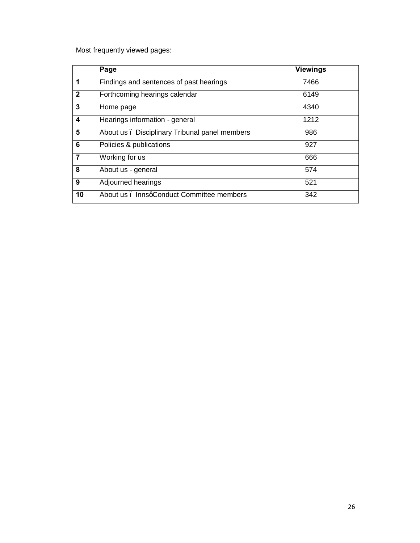Most frequently viewed pages:

|                | Page                                           | <b>Viewings</b> |
|----------------|------------------------------------------------|-----------------|
| 1              | Findings and sentences of past hearings        | 7466            |
| $\overline{2}$ | Forthcoming hearings calendar                  | 6149            |
| 3              | Home page                                      | 4340            |
| 4              | Hearings information - general                 | 1212            |
| 5              | About us . Disciplinary Tribunal panel members | 986             |
| 6              | Policies & publications                        | 927             |
| $\overline{7}$ | Working for us                                 | 666             |
| 8              | About us - general                             | 574             |
| 9              | Adjourned hearings                             | 521             |
| 10             | About us . InnsqConduct Committee members      | 342             |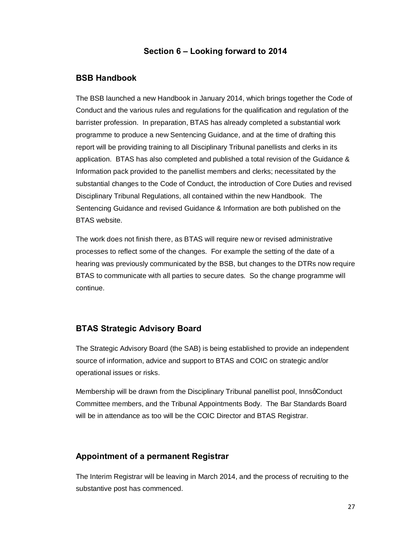#### **Section 6 – Looking forward to 2014**

#### **BSB Handbook**

The BSB launched a new Handbook in January 2014, which brings together the Code of Conduct and the various rules and regulations for the qualification and regulation of the barrister profession. In preparation, BTAS has already completed a substantial work programme to produce a new Sentencing Guidance, and at the time of drafting this report will be providing training to all Disciplinary Tribunal panellists and clerks in its application. BTAS has also completed and published a total revision of the Guidance & Information pack provided to the panellist members and clerks; necessitated by the substantial changes to the Code of Conduct, the introduction of Core Duties and revised Disciplinary Tribunal Regulations, all contained within the new Handbook. The Sentencing Guidance and revised Guidance & Information are both published on the BTAS website.

The work does not finish there, as BTAS will require new or revised administrative processes to reflect some of the changes. For example the setting of the date of a hearing was previously communicated by the BSB, but changes to the DTRs now require BTAS to communicate with all parties to secure dates. So the change programme will continue.

#### **BTAS Strategic Advisory Board**

The Strategic Advisory Board (the SAB) is being established to provide an independent source of information, advice and support to BTAS and COIC on strategic and/or operational issues or risks.

Membership will be drawn from the Disciplinary Tribunal panellist pool, InnsqConduct Committee members, and the Tribunal Appointments Body. The Bar Standards Board will be in attendance as too will be the COIC Director and BTAS Registrar.

#### **Appointment of a permanent Registrar**

The Interim Registrar will be leaving in March 2014, and the process of recruiting to the substantive post has commenced.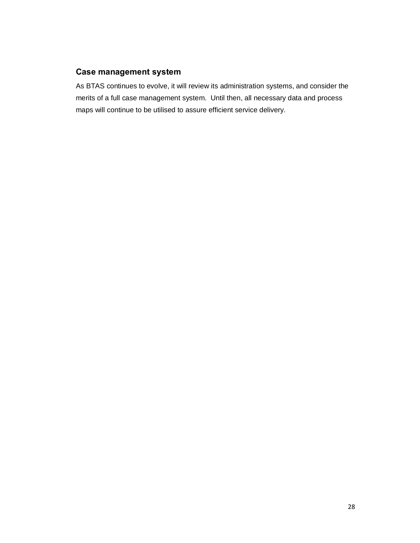#### **Case management system**

As BTAS continues to evolve, it will review its administration systems, and consider the merits of a full case management system. Until then, all necessary data and process maps will continue to be utilised to assure efficient service delivery.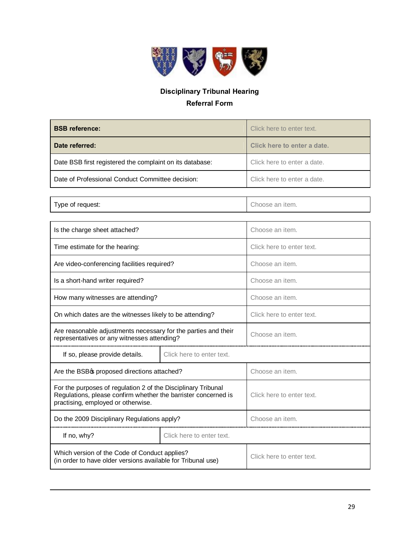

# **Disciplinary Tribunal Hearing Referral Form**

| <b>BSB</b> reference:                                    | Click here to enter text.   |
|----------------------------------------------------------|-----------------------------|
| Date referred:                                           | Click here to enter a date. |
| Date BSB first registered the complaint on its database: | Click here to enter a date. |
| Date of Professional Conduct Committee decision:         | Click here to enter a date. |
|                                                          |                             |

Type of request:  $\qquad \qquad$  Choose an item.

| Is the charge sheet attached?                                                                                                                                         |                           | Choose an item.           |
|-----------------------------------------------------------------------------------------------------------------------------------------------------------------------|---------------------------|---------------------------|
| Time estimate for the hearing:                                                                                                                                        |                           | Click here to enter text. |
| Are video-conferencing facilities required?                                                                                                                           |                           | Choose an item.           |
| Is a short-hand writer required?                                                                                                                                      |                           | Choose an item.           |
| How many witnesses are attending?                                                                                                                                     |                           | Choose an item.           |
| On which dates are the witnesses likely to be attending?                                                                                                              |                           | Click here to enter text. |
| Are reasonable adjustments necessary for the parties and their<br>representatives or any witnesses attending?                                                         |                           | Choose an item.           |
| If so, please provide details.                                                                                                                                        | Click here to enter text. |                           |
| Are the BSBos proposed directions attached?                                                                                                                           |                           | Choose an item.           |
| For the purposes of regulation 2 of the Disciplinary Tribunal<br>Regulations, please confirm whether the barrister concerned is<br>practising, employed or otherwise. |                           | Click here to enter text. |
| Do the 2009 Disciplinary Regulations apply?                                                                                                                           |                           | Choose an item.           |
| If no, why?                                                                                                                                                           | Click here to enter text. |                           |
| Which version of the Code of Conduct applies?<br>(in order to have older versions available for Tribunal use)                                                         |                           | Click here to enter text. |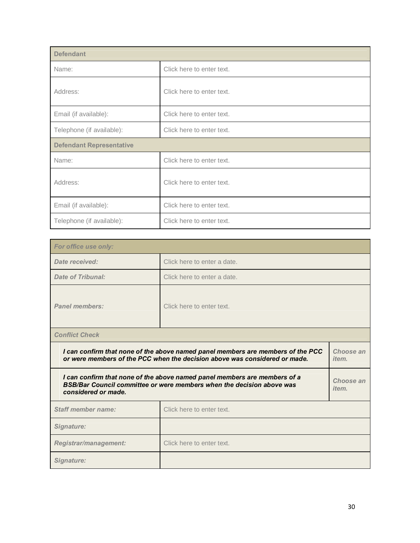| <b>Defendant</b>                |                           |  |
|---------------------------------|---------------------------|--|
| Name:                           | Click here to enter text. |  |
| Address:                        | Click here to enter text. |  |
| Email (if available):           | Click here to enter text. |  |
| Telephone (if available):       | Click here to enter text. |  |
| <b>Defendant Representative</b> |                           |  |
| Name:                           | Click here to enter text. |  |
| Address:                        | Click here to enter text. |  |
| Email (if available):           | Click here to enter text. |  |
| Telephone (if available):       | Click here to enter text. |  |

| For office use only:                                                                                                                                                                       |                             |                           |  |
|--------------------------------------------------------------------------------------------------------------------------------------------------------------------------------------------|-----------------------------|---------------------------|--|
| Date received:                                                                                                                                                                             | Click here to enter a date. |                           |  |
| <b>Date of Tribunal:</b>                                                                                                                                                                   | Click here to enter a date. |                           |  |
| <b>Panel members:</b>                                                                                                                                                                      | Click here to enter text.   |                           |  |
| <b>Conflict Check</b>                                                                                                                                                                      |                             |                           |  |
| I can confirm that none of the above named panel members are members of the PCC<br>Choose an<br>or were members of the PCC when the decision above was considered or made.<br><i>item.</i> |                             |                           |  |
| I can confirm that none of the above named panel members are members of a<br>BSB/Bar Council committee or were members when the decision above was<br>considered or made.                  |                             | Choose an<br><i>item.</i> |  |
| <b>Staff member name:</b>                                                                                                                                                                  | Click here to enter text.   |                           |  |
| Signature:                                                                                                                                                                                 |                             |                           |  |
| Registrar/management:                                                                                                                                                                      | Click here to enter text.   |                           |  |
| Signature:                                                                                                                                                                                 |                             |                           |  |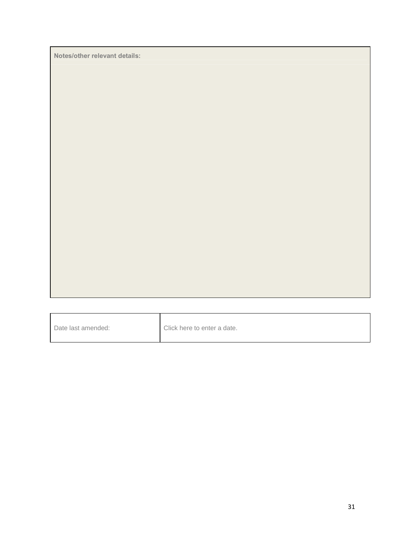**Notes/other relevant details:**

| Date last amended: | Click here to enter a date. |
|--------------------|-----------------------------|
|--------------------|-----------------------------|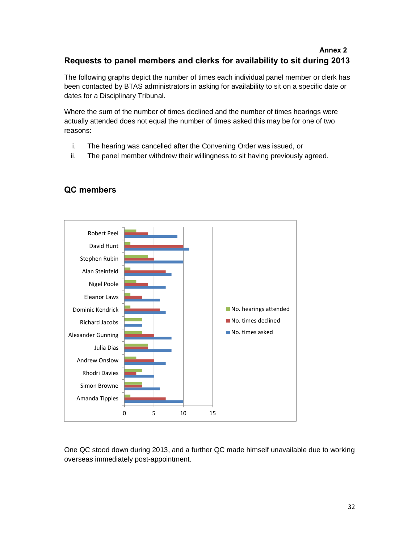#### **Annex 2 Requests to panel members and clerks for availability to sit during 2013**

The following graphs depict the number of times each individual panel member or clerk has been contacted by BTAS administrators in asking for availability to sit on a specific date or dates for a Disciplinary Tribunal.

Where the sum of the number of times declined and the number of times hearings were actually attended does not equal the number of times asked this may be for one of two reasons:

- i. The hearing was cancelled after the Convening Order was issued, or
- ii. The panel member withdrew their willingness to sit having previously agreed.



# **QC members**

One QC stood down during 2013, and a further QC made himself unavailable due to working overseas immediately post-appointment.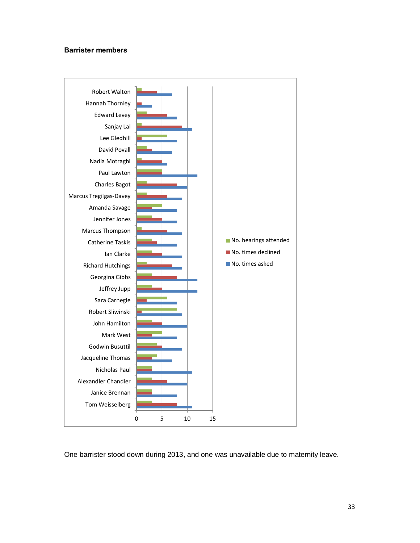#### **Barrister members**



One barrister stood down during 2013, and one was unavailable due to maternity leave.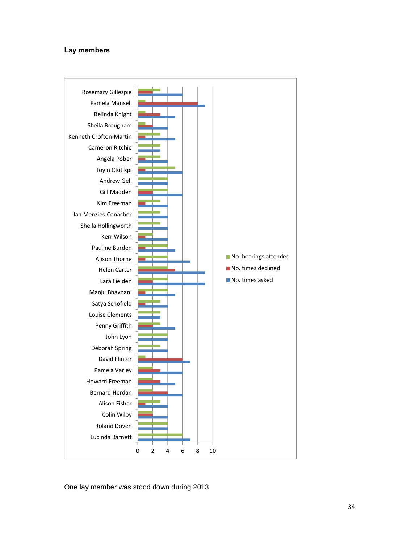#### **Lay members**



One lay member was stood down during 2013.